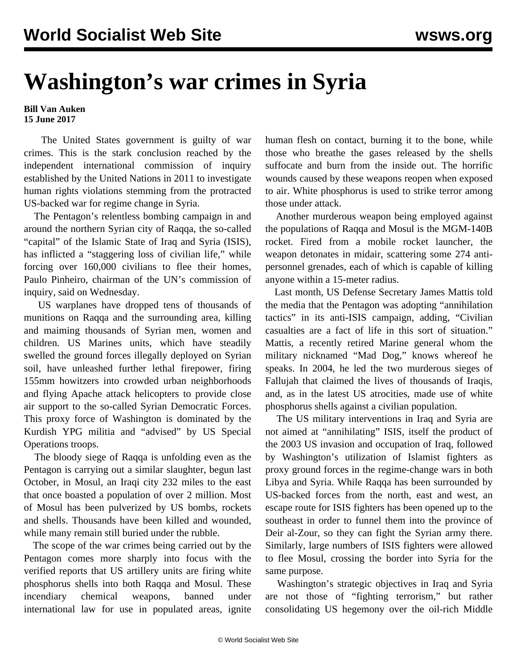## **Washington's war crimes in Syria**

## **Bill Van Auken 15 June 2017**

 The United States government is guilty of war crimes. This is the stark conclusion reached by the independent international commission of inquiry established by the United Nations in 2011 to investigate human rights violations stemming from the protracted US-backed war for regime change in Syria.

 The Pentagon's relentless bombing campaign in and around the northern Syrian city of Raqqa, the so-called "capital" of the Islamic State of Iraq and Syria (ISIS), has inflicted a "staggering loss of civilian life," while forcing over 160,000 civilians to flee their homes, Paulo Pinheiro, chairman of the UN's commission of inquiry, said on Wednesday.

 US warplanes have dropped tens of thousands of munitions on Raqqa and the surrounding area, killing and maiming thousands of Syrian men, women and children. US Marines units, which have steadily swelled the ground forces illegally deployed on Syrian soil, have unleashed further lethal firepower, firing 155mm howitzers into crowded urban neighborhoods and flying Apache attack helicopters to provide close air support to the so-called Syrian Democratic Forces. This proxy force of Washington is dominated by the Kurdish YPG militia and "advised" by US Special Operations troops.

 The bloody siege of Raqqa is unfolding even as the Pentagon is carrying out a similar slaughter, begun last October, in Mosul, an Iraqi city 232 miles to the east that once boasted a population of over 2 million. Most of Mosul has been pulverized by US bombs, rockets and shells. Thousands have been killed and wounded, while many remain still buried under the rubble.

 The scope of the war crimes being carried out by the Pentagon comes more sharply into focus with the verified reports that US artillery units are firing white phosphorus shells into both Raqqa and Mosul. These incendiary chemical weapons, banned under international law for use in populated areas, ignite

human flesh on contact, burning it to the bone, while those who breathe the gases released by the shells suffocate and burn from the inside out. The horrific wounds caused by these weapons reopen when exposed to air. White phosphorus is used to strike terror among those under attack.

 Another murderous weapon being employed against the populations of Raqqa and Mosul is the MGM-140B rocket. Fired from a mobile rocket launcher, the weapon detonates in midair, scattering some 274 antipersonnel grenades, each of which is capable of killing anyone within a 15-meter radius.

 Last month, US Defense Secretary James Mattis told the media that the Pentagon was adopting "annihilation tactics" in its anti-ISIS campaign, adding, "Civilian casualties are a fact of life in this sort of situation." Mattis, a recently retired Marine general whom the military nicknamed "Mad Dog," knows whereof he speaks. In 2004, he led the two murderous sieges of Fallujah that claimed the lives of thousands of Iraqis, and, as in the latest US atrocities, made use of white phosphorus shells against a civilian population.

 The US military interventions in Iraq and Syria are not aimed at "annihilating" ISIS, itself the product of the 2003 US invasion and occupation of Iraq, followed by Washington's utilization of Islamist fighters as proxy ground forces in the regime-change wars in both Libya and Syria. While Raqqa has been surrounded by US-backed forces from the north, east and west, an escape route for ISIS fighters has been opened up to the southeast in order to funnel them into the province of Deir al-Zour, so they can fight the Syrian army there. Similarly, large numbers of ISIS fighters were allowed to flee Mosul, crossing the border into Syria for the same purpose.

 Washington's strategic objectives in Iraq and Syria are not those of "fighting terrorism," but rather consolidating US hegemony over the oil-rich Middle